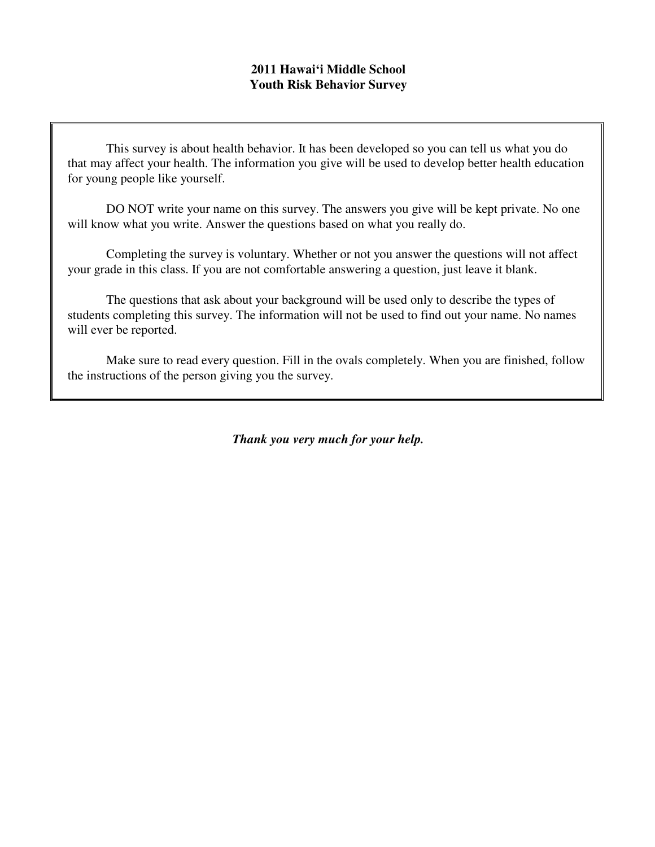## **2011 Hawai'i Middle School Youth Risk Behavior Survey**

This survey is about health behavior. It has been developed so you can tell us what you do that may affect your health. The information you give will be used to develop better health education for young people like yourself.

DO NOT write your name on this survey. The answers you give will be kept private. No one will know what you write. Answer the questions based on what you really do.

Completing the survey is voluntary. Whether or not you answer the questions will not affect your grade in this class. If you are not comfortable answering a question, just leave it blank.

The questions that ask about your background will be used only to describe the types of students completing this survey. The information will not be used to find out your name. No names will ever be reported.

Make sure to read every question. Fill in the ovals completely. When you are finished, follow the instructions of the person giving you the survey.

*Thank you very much for your help.*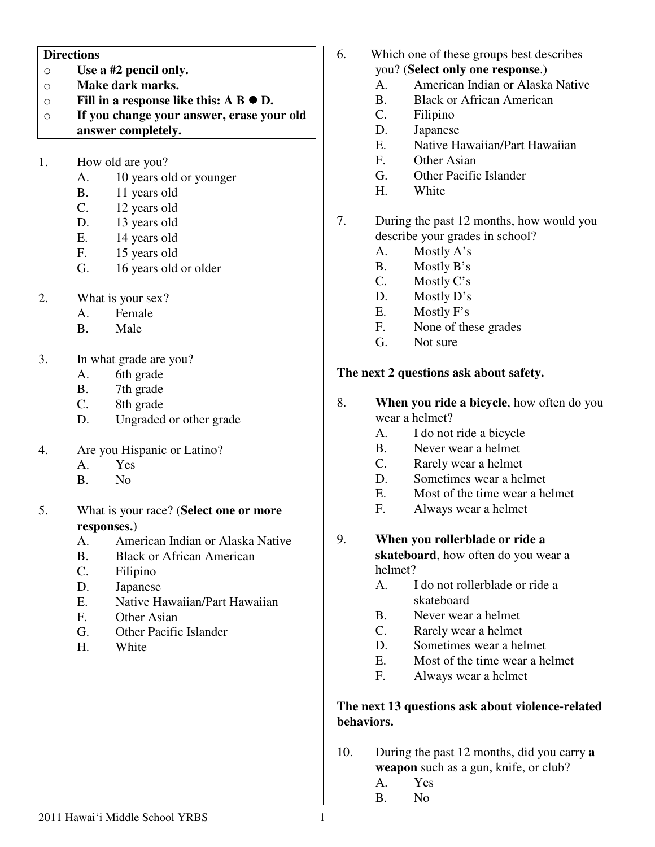#### **Directions**

- o **Use a #2 pencil only.**
- o **Make dark marks.**
- o **Fill in a response like this: A B D.**
- o **If you change your answer, erase your old answer completely.**
- 1. How old are you?
	- A. 10 years old or younger
	- B. 11 years old
	- C. 12 years old
	- D. 13 years old
	- E. 14 years old
	- F. 15 years old
	- G. 16 years old or older
- 2. What is your sex?
	- A. Female
	- B. Male
- 3. In what grade are you?
	- A. 6th grade
	- B. 7th grade
	- C. 8th grade
	- D. Ungraded or other grade
- 4. Are you Hispanic or Latino?
	- A. Yes
	- B. No
- 5. What is your race? (**Select one or more responses.**)
	- A. American Indian or Alaska Native
	- B. Black or African American
	- C. Filipino
	- D. Japanese
	- E. Native Hawaiian/Part Hawaiian
	- F. Other Asian
	- G. Other Pacific Islander
	- H. White
- 6. Which one of these groups best describes you? (**Select only one response**.)
	- A. American Indian or Alaska Native
	- B. Black or African American
	- C. Filipino
	- D. Japanese
	- E. Native Hawaiian/Part Hawaiian
	- F. Other Asian
	- G. Other Pacific Islander
	- H. White
- 7. During the past 12 months, how would you describe your grades in school?
	- A. Mostly A's
	- B. Mostly B's
	- C. Mostly C's
	- D. Mostly D's
	- E. Mostly F's
	- F. None of these grades
	- G. Not sure

#### **The next 2 questions ask about safety.**

- 8. **When you ride a bicycle**, how often do you wear a helmet?
	- A. I do not ride a bicycle
	- B. Never wear a helmet
	- C. Rarely wear a helmet
	- D. Sometimes wear a helmet
	- E. Most of the time wear a helmet
	- F. Always wear a helmet
- 9. **When you rollerblade or ride a skateboard**, how often do you wear a helmet?
	- A. I do not rollerblade or ride a skateboard
	- B. Never wear a helmet
	- C. Rarely wear a helmet
	- D. Sometimes wear a helmet<br>E. Most of the time wear a he
	- Most of the time wear a helmet
	- F. Always wear a helmet

#### **The next 13 questions ask about violence-related behaviors.**

- 10. During the past 12 months, did you carry **a weapon** such as a gun, knife, or club?
	- A. Yes
	- B. No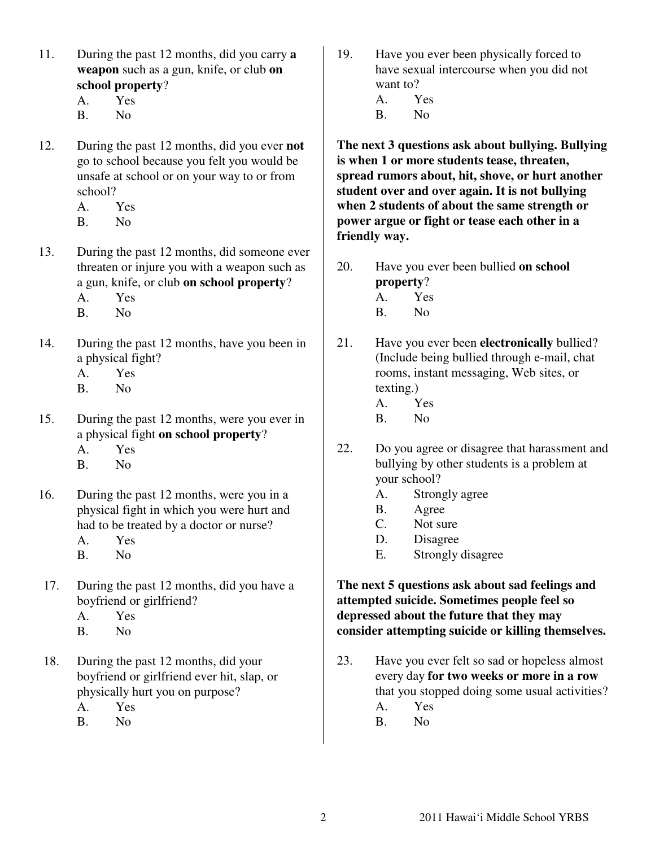- 11. During the past 12 months, did you carry **a weapon** such as a gun, knife, or club **on school property**?
	- A. Yes
	- B. No
- 12. During the past 12 months, did you ever **not** go to school because you felt you would be unsafe at school or on your way to or from school?
	- A. Yes
	- B. No
- 13. During the past 12 months, did someone ever threaten or injure you with a weapon such as a gun, knife, or club **on school property**?
	- A. Yes
	- B. No
- 14. During the past 12 months, have you been in a physical fight?
	- A. Yes
	- B. No
- 15. During the past 12 months, were you ever in a physical fight **on school property**? A. Yes
	- B. No
- 16. During the past 12 months, were you in a physical fight in which you were hurt and had to be treated by a doctor or nurse?
	- A. Yes
	- B. No
- 17. During the past 12 months, did you have a boyfriend or girlfriend?
	- A. Yes
	- B. No
- 18. During the past 12 months, did your boyfriend or girlfriend ever hit, slap, or physically hurt you on purpose?
	- A. Yes
	- B. No

19. Have you ever been physically forced to have sexual intercourse when you did not want to? A. Yes B. No

**The next 3 questions ask about bullying. Bullying is when 1 or more students tease, threaten, spread rumors about, hit, shove, or hurt another student over and over again. It is not bullying when 2 students of about the same strength or power argue or fight or tease each other in a friendly way.**

- 20. Have you ever been bullied **on school property**?
	- A. Yes
	- B. No
- 21. Have you ever been **electronically** bullied? (Include being bullied through e-mail, chat rooms, instant messaging, Web sites, or texting.)
	- A. Yes
	- B. No
- 22. Do you agree or disagree that harassment and bullying by other students is a problem at your school?
	- A. Strongly agree
	- B. Agree
	- C. Not sure
	- D. Disagree
	- E. Strongly disagree

**The next 5 questions ask about sad feelings and attempted suicide. Sometimes people feel so depressed about the future that they may consider attempting suicide or killing themselves.** 

- 23. Have you ever felt so sad or hopeless almost every day **for two weeks or more in a row** that you stopped doing some usual activities?
	- A. Yes
	- B. No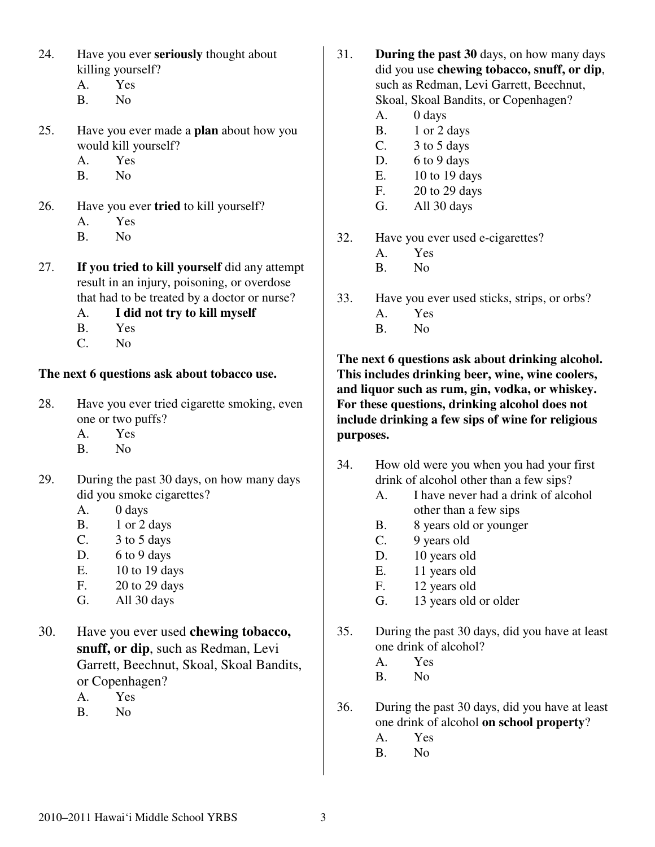- 24. Have you ever **seriously** thought about killing yourself?
	- A. Yes
	- B. No
- 25. Have you ever made a **plan** about how you would kill yourself?
	- A. Yes
	- B. No
- 26. Have you ever **tried** to kill yourself?
	- A. Yes
	- B. No
- 27. **If you tried to kill yourself** did any attempt result in an injury, poisoning, or overdose that had to be treated by a doctor or nurse?
	- A. **I did not try to kill myself**
	- B. Yes
	- C. No

# **The next 6 questions ask about tobacco use.**

- 28. Have you ever tried cigarette smoking, even one or two puffs?
	- A. Yes
	- B. No
- 29. During the past 30 days, on how many days did you smoke cigarettes?
	- A. 0 days
	- $B.$  1 or 2 days
	- C.  $3 \text{ to } 5 \text{ days}$
	- D.  $6$  to 9 days
	- E. 10 to 19 days
	- F. 20 to 29 days
	- G. All 30 days
- 30. Have you ever used **chewing tobacco, snuff, or dip**, such as Redman, Levi Garrett, Beechnut, Skoal, Skoal Bandits, or Copenhagen?
	- A. Yes
	- B. No
- 31. **During the past 30** days, on how many days did you use **chewing tobacco, snuff, or dip**, such as Redman, Levi Garrett, Beechnut, Skoal, Skoal Bandits, or Copenhagen?
	- A. 0 days
	- B. 1 or 2 days
	- C. 3 to 5 days
	- D.  $6$  to 9 days
	- E. 10 to 19 days
	- F. 20 to 29 days
	- G. All 30 days
- 32. Have you ever used e-cigarettes?
	- A. Yes
	- B. No
- 33. Have you ever used sticks, strips, or orbs? A. Yes B. No
- **The next 6 questions ask about drinking alcohol. This includes drinking beer, wine, wine coolers, and liquor such as rum, gin, vodka, or whiskey. For these questions, drinking alcohol does not include drinking a few sips of wine for religious purposes.**
- 34. How old were you when you had your first drink of alcohol other than a few sips?
	- A. I have never had a drink of alcohol other than a few sips
	- B. 8 years old or younger
	- C. 9 years old
	- D. 10 years old
	- E. 11 years old
	- F. 12 years old
	- G. 13 years old or older
- 35. During the past 30 days, did you have at least one drink of alcohol?
	- A. Yes
	- B. No
- 36. During the past 30 days, did you have at least one drink of alcohol **on school property**?
	- A. Yes
	- B. No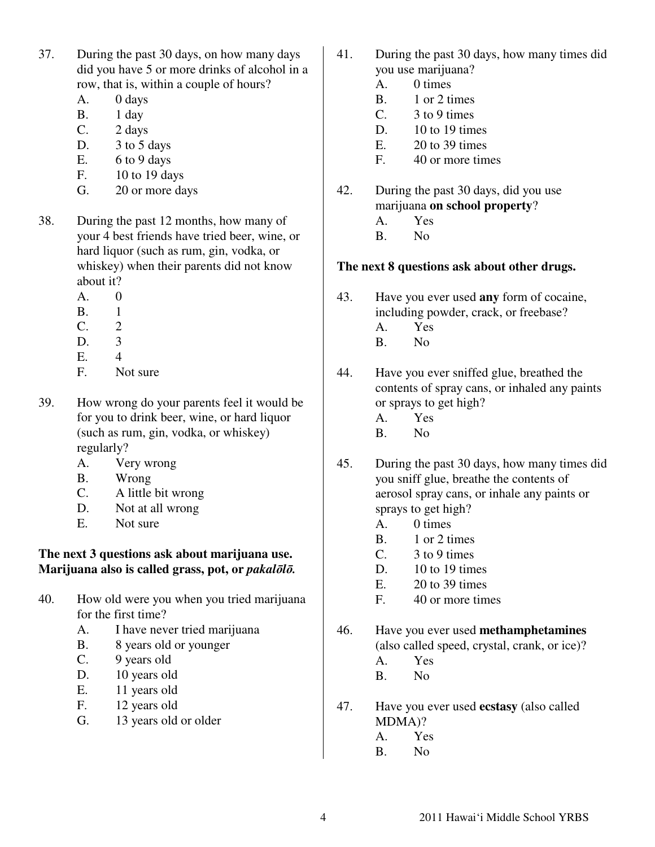- 37. During the past 30 days, on how many days did you have 5 or more drinks of alcohol in a row, that is, within a couple of hours?
	- A. 0 days
	- B. 1 day
	- C. 2 days
	- D. 3 to 5 days
	- E.  $6$  to 9 days
	- F. 10 to 19 days
	- G. 20 or more days
- 38. During the past 12 months, how many of your 4 best friends have tried beer, wine, or hard liquor (such as rum, gin, vodka, or whiskey) when their parents did not know about it?
	- A. 0
	- B. 1
	- $C_2$  2
	- D. 3
	- E. 4
	- F. Not sure
- 39. How wrong do your parents feel it would be for you to drink beer, wine, or hard liquor (such as rum, gin, vodka, or whiskey) regularly?
	- A. Very wrong
	- B. Wrong
	- C. A little bit wrong
	- D. Not at all wrong
	- E. Not sure

### **The next 3 questions ask about marijuana use. Marijuana also is called grass, pot, or** *pakal*ō*l*ō*.*

- 40. How old were you when you tried marijuana for the first time?
	- A. I have never tried marijuana
	- B. 8 years old or younger
	- C. 9 years old
	- D. 10 years old
	- E. 11 years old
	- F. 12 years old
	- G. 13 years old or older
- 41. During the past 30 days, how many times did you use marijuana?
	- A. 0 times
	- B. 1 or 2 times
	- C. 3 to 9 times
	- D. 10 to 19 times
	- $E.$  20 to 39 times
	- F. 40 or more times
- 42. During the past 30 days, did you use marijuana **on school property**?
	- A. Yes
	- B. No

# **The next 8 questions ask about other drugs.**

- 43. Have you ever used **any** form of cocaine, including powder, crack, or freebase?
	- A. Yes
	- B. No
- 44. Have you ever sniffed glue, breathed the contents of spray cans, or inhaled any paints or sprays to get high?
	- A. Yes
	- B. No
- 45. During the past 30 days, how many times did you sniff glue, breathe the contents of aerosol spray cans, or inhale any paints or sprays to get high?
	- A. 0 times
	- B. 1 or 2 times
	- C. 3 to 9 times
	- D. 10 to 19 times
	- E. 20 to 39 times
	- F. 40 or more times
- 46. Have you ever used **methamphetamines** (also called speed, crystal, crank, or ice)?
	- A. Yes
	- B. No
- 47. Have you ever used **ecstasy** (also called MDMA)?
	- A. Yes
	- B. No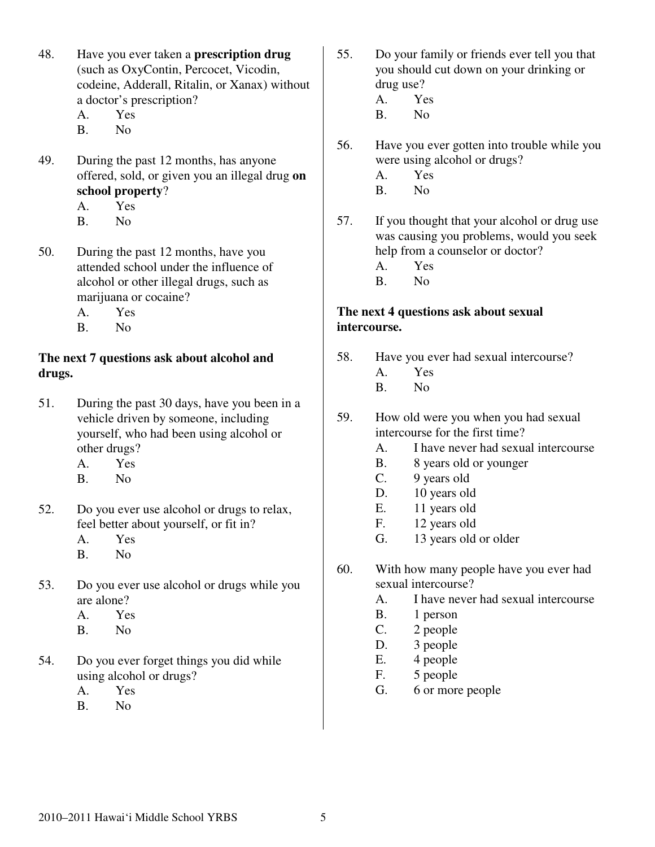- 48. Have you ever taken a **prescription drug** (such as OxyContin, Percocet, Vicodin, codeine, Adderall, Ritalin, or Xanax) without a doctor's prescription?
	- A. Yes
	- B. No
- 49. During the past 12 months, has anyone offered, sold, or given you an illegal drug **on school property**? A. Yes
	- B. No
- 50. During the past 12 months, have you attended school under the influence of alcohol or other illegal drugs, such as marijuana or cocaine?
	- A. Yes
	- B. No

### **The next 7 questions ask about alcohol and drugs.**

- 51. During the past 30 days, have you been in a vehicle driven by someone, including yourself, who had been using alcohol or other drugs?
	- A. Yes
	- B. No
- 52. Do you ever use alcohol or drugs to relax, feel better about yourself, or fit in?
	- A. Yes
	- B. No
- 53. Do you ever use alcohol or drugs while you are alone?
	- A. Yes
	- B. No
- 54. Do you ever forget things you did while using alcohol or drugs?
	- A. Yes
	- B. No
- 55. Do your family or friends ever tell you that you should cut down on your drinking or drug use? A. Yes
	- B. No
- 56. Have you ever gotten into trouble while you were using alcohol or drugs?
	- A. Yes
	- B. No
- 57. If you thought that your alcohol or drug use was causing you problems, would you seek help from a counselor or doctor?
	- A. Yes
	- B. No

## **The next 4 questions ask about sexual intercourse.**

- 58. Have you ever had sexual intercourse?
	- A. Yes
	- B. No
- 59. How old were you when you had sexual intercourse for the first time?
	- A. I have never had sexual intercourse
	- B. 8 years old or younger
	- C. 9 years old
	- D. 10 years old
	- E. 11 years old
	- F. 12 years old
	- G. 13 years old or older
- 60. With how many people have you ever had sexual intercourse?
	- A. I have never had sexual intercourse
	- B. 1 person
	- C. 2 people
	- D. 3 people
	- E. 4 people
	- F. 5 people
	- G. 6 or more people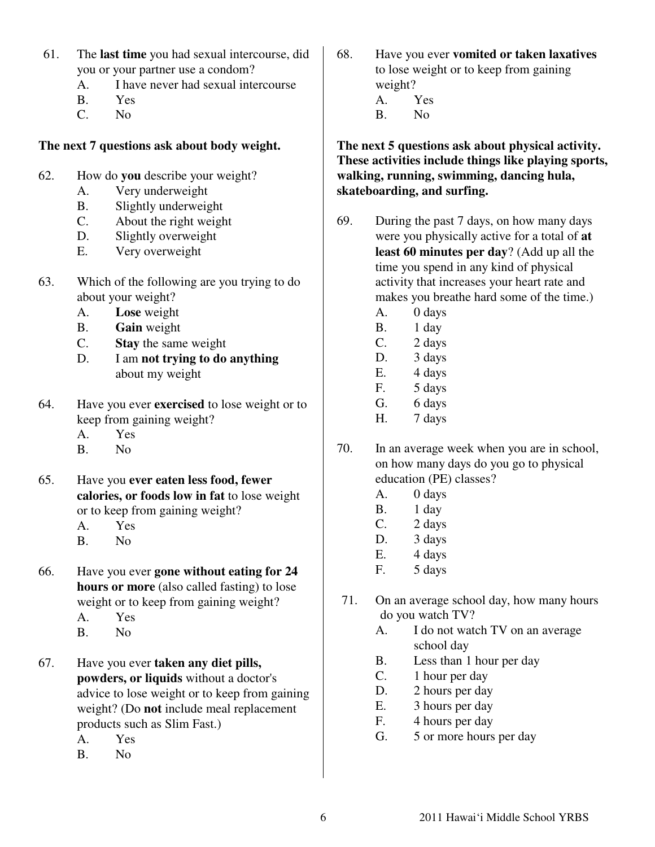- 61. The **last time** you had sexual intercourse, did you or your partner use a condom?
	- A. I have never had sexual intercourse
	- B. Yes
	- C. No

# **The next 7 questions ask about body weight.**

- 62. How do **you** describe your weight?
	- A. Very underweight
	- B. Slightly underweight
	- C. About the right weight
	- D. Slightly overweight
	- E. Very overweight
- 63. Which of the following are you trying to do about your weight?
	- A. **Lose** weight
	- B. **Gain** weight
	- C. **Stay** the same weight
	- D. I am **not trying to do anything** about my weight
- 64. Have you ever **exercised** to lose weight or to keep from gaining weight?
	- A. Yes
	- B. No
- 65. Have you **ever eaten less food, fewer calories, or foods low in fat** to lose weight or to keep from gaining weight?
	- A. Yes
	- B. No
- 66. Have you ever **gone without eating for 24 hours or more** (also called fasting) to lose weight or to keep from gaining weight?
	- A. Yes
	- B. No
- 67. Have you ever **taken any diet pills, powders, or liquids** without a doctor's advice to lose weight or to keep from gaining weight? (Do **not** include meal replacement products such as Slim Fast.)
	- A. Yes
	- B. No

68. Have you ever **vomited or taken laxatives** to lose weight or to keep from gaining weight? A. Yes B. No

**The next 5 questions ask about physical activity. These activities include things like playing sports, walking, running, swimming, dancing hula, skateboarding, and surfing.** 

- 69. During the past 7 days, on how many days were you physically active for a total of **at least 60 minutes per day**? (Add up all the time you spend in any kind of physical activity that increases your heart rate and makes you breathe hard some of the time.)
	- A. 0 days
	- B. 1 day
	- C. 2 days
	- D. 3 days
	- E. 4 days
	- F. 5 days
	- G. 6 days
	- H. 7 days
- 70. In an average week when you are in school, on how many days do you go to physical education (PE) classes?
	- A. 0 days
	- B. 1 day
	- C. 2 days
	- D. 3 days
	- E. 4 days
	- F. 5 days
- 71. On an average school day, how many hours do you watch TV?
	- A. I do not watch TV on an average school day
	- B. Less than 1 hour per day
	- C. 1 hour per day
	- D. 2 hours per day
	- E. 3 hours per day
	- F. 4 hours per day
	- G. 5 or more hours per day